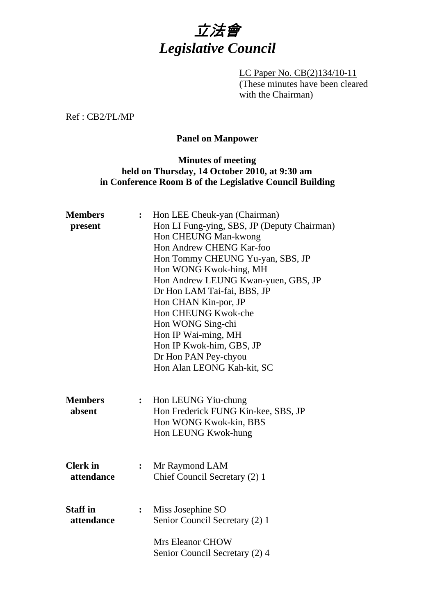

LC Paper No. CB(2)134/10-11 (These minutes have been cleared with the Chairman)

Ref : CB2/PL/MP

#### **Panel on Manpower**

# **Minutes of meeting held on Thursday, 14 October 2010, at 9:30 am in Conference Room B of the Legislative Council Building**

| Hon LI Fung-ying, SBS, JP (Deputy Chairman)<br>present<br>Hon CHEUNG Man-kwong<br>Hon Andrew CHENG Kar-foo<br>Hon Tommy CHEUNG Yu-yan, SBS, JP |  |
|------------------------------------------------------------------------------------------------------------------------------------------------|--|
|                                                                                                                                                |  |
|                                                                                                                                                |  |
|                                                                                                                                                |  |
|                                                                                                                                                |  |
| Hon WONG Kwok-hing, MH                                                                                                                         |  |
| Hon Andrew LEUNG Kwan-yuen, GBS, JP                                                                                                            |  |
| Dr Hon LAM Tai-fai, BBS, JP                                                                                                                    |  |
| Hon CHAN Kin-por, JP                                                                                                                           |  |
| Hon CHEUNG Kwok-che                                                                                                                            |  |
| Hon WONG Sing-chi                                                                                                                              |  |
| Hon IP Wai-ming, MH                                                                                                                            |  |
| Hon IP Kwok-him, GBS, JP                                                                                                                       |  |
| Dr Hon PAN Pey-chyou                                                                                                                           |  |
| Hon Alan LEONG Kah-kit, SC                                                                                                                     |  |
|                                                                                                                                                |  |
|                                                                                                                                                |  |
| <b>Members</b><br>Hon LEUNG Yiu-chung<br>$\ddot{\cdot}$                                                                                        |  |
| absent<br>Hon Frederick FUNG Kin-kee, SBS, JP                                                                                                  |  |
| Hon WONG Kwok-kin, BBS                                                                                                                         |  |
| Hon LEUNG Kwok-hung                                                                                                                            |  |
|                                                                                                                                                |  |
|                                                                                                                                                |  |
| <b>Clerk</b> in<br>Mr Raymond LAM                                                                                                              |  |
| attendance<br>Chief Council Secretary (2) 1                                                                                                    |  |
|                                                                                                                                                |  |
|                                                                                                                                                |  |
| <b>Staff</b> in<br>Miss Josephine SO<br>$\ddot{\cdot}$                                                                                         |  |
| attendance<br>Senior Council Secretary (2) 1                                                                                                   |  |
| <b>Mrs Eleanor CHOW</b>                                                                                                                        |  |
| Senior Council Secretary (2) 4                                                                                                                 |  |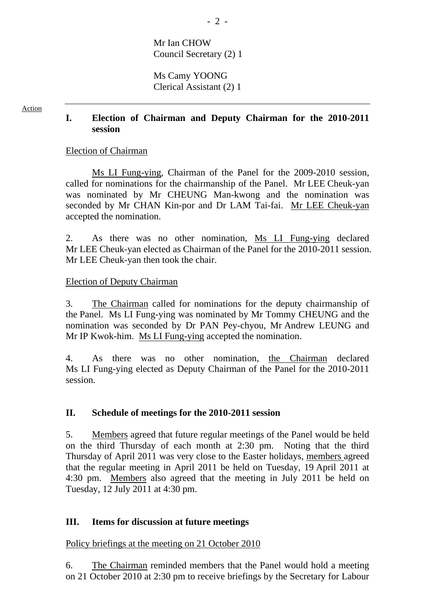Mr Ian CHOW Council Secretary (2) 1

Ms Camy YOONG Clerical Assistant (2) 1

#### Action

## **I. Election of Chairman and Deputy Chairman for the 2010-2011 session**

#### Election of Chairman

 Ms LI Fung-ying, Chairman of the Panel for the 2009-2010 session, called for nominations for the chairmanship of the Panel. Mr LEE Cheuk-yan was nominated by Mr CHEUNG Man-kwong and the nomination was seconded by Mr CHAN Kin-por and Dr LAM Tai-fai. Mr LEE Cheuk-yan accepted the nomination.

2. As there was no other nomination, Ms LI Fung-ying declared Mr LEE Cheuk-yan elected as Chairman of the Panel for the 2010-2011 session. Mr LEE Cheuk-yan then took the chair.

## Election of Deputy Chairman

3. The Chairman called for nominations for the deputy chairmanship of the Panel. Ms LI Fung-ying was nominated by Mr Tommy CHEUNG and the nomination was seconded by Dr PAN Pey-chyou, Mr Andrew LEUNG and Mr IP Kwok-him. Ms LI Fung-ying accepted the nomination.

4. As there was no other nomination, the Chairman declared Ms LI Fung-ying elected as Deputy Chairman of the Panel for the 2010-2011 session.

## **II. Schedule of meetings for the 2010-2011 session**

5. Members agreed that future regular meetings of the Panel would be held on the third Thursday of each month at 2:30 pm. Noting that the third Thursday of April 2011 was very close to the Easter holidays, members agreed that the regular meeting in April 2011 be held on Tuesday, 19 April 2011 at 4:30 pm. Members also agreed that the meeting in July 2011 be held on Tuesday, 12 July 2011 at 4:30 pm.

## **III. Items for discussion at future meetings**

Policy briefings at the meeting on 21 October 2010

6. The Chairman reminded members that the Panel would hold a meeting on 21 October 2010 at 2:30 pm to receive briefings by the Secretary for Labour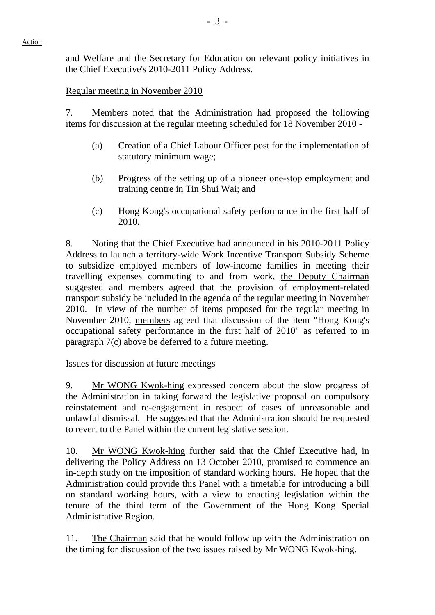and Welfare and the Secretary for Education on relevant policy initiatives in the Chief Executive's 2010-2011 Policy Address.

#### Regular meeting in November 2010

7. Members noted that the Administration had proposed the following items for discussion at the regular meeting scheduled for 18 November 2010 -

- (a) Creation of a Chief Labour Officer post for the implementation of statutory minimum wage;
- (b) Progress of the setting up of a pioneer one-stop employment and training centre in Tin Shui Wai; and
- (c) Hong Kong's occupational safety performance in the first half of 2010.

8. Noting that the Chief Executive had announced in his 2010-2011 Policy Address to launch a territory-wide Work Incentive Transport Subsidy Scheme to subsidize employed members of low-income families in meeting their travelling expenses commuting to and from work, the Deputy Chairman suggested and members agreed that the provision of employment-related transport subsidy be included in the agenda of the regular meeting in November 2010. In view of the number of items proposed for the regular meeting in November 2010, members agreed that discussion of the item "Hong Kong's occupational safety performance in the first half of 2010" as referred to in paragraph 7(c) above be deferred to a future meeting.

#### Issues for discussion at future meetings

9. Mr WONG Kwok-hing expressed concern about the slow progress of the Administration in taking forward the legislative proposal on compulsory reinstatement and re-engagement in respect of cases of unreasonable and unlawful dismissal. He suggested that the Administration should be requested to revert to the Panel within the current legislative session.

10. Mr WONG Kwok-hing further said that the Chief Executive had, in delivering the Policy Address on 13 October 2010, promised to commence an in-depth study on the imposition of standard working hours. He hoped that the Administration could provide this Panel with a timetable for introducing a bill on standard working hours, with a view to enacting legislation within the tenure of the third term of the Government of the Hong Kong Special Administrative Region.

11. The Chairman said that he would follow up with the Administration on the timing for discussion of the two issues raised by Mr WONG Kwok-hing.